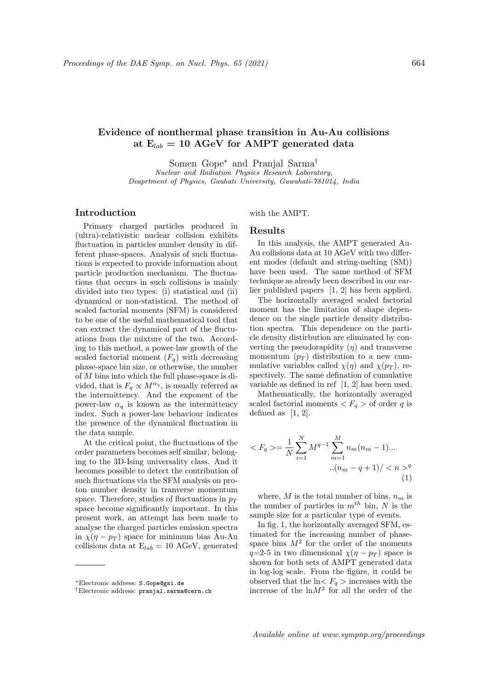# Evidence of nonthermal phase transition in Au-Au collisions at  $E_{lab} = 10$  AGeV for AMPT generated data

Somen Gope<sup>∗</sup> and Pranjal Sarma† Nuclear and Radiation Physics Research Laboratory, Deaprtment of Physics, Gauhati University, Guwahati-781014, India

## Introduction

Primary charged particles produced in (ultra)-relativistic nuclear collision exhibits fluctuation in particles number density in different phase-spaces. Analysis of such fluctuations is expected to provide information about particle production mechanism. The fluctuations that occurs in such collisions is mainly divided into two types: (i) statistical and (ii) dynamical or non-statistical. The method of scaled factorial moments (SFM) is considered to be one of the useful mathematical tool that can extract the dynamical part of the fluctuations from the mixture of the two. According to this method, a power-law growth of the scaled factorial moment  $(F_q)$  with decreasing phase-space bin size, or otherwise, the number of M bins into which the full phase-space is divided, that is  $F_q \propto M^{\alpha_q}$ , is usually referred as the intermittency. And the exponent of the power-law  $\alpha_q$  is known as the intermittency index. Such a power-law behaviour indicates the presence of the dynamical fluctuation in the data sample.

At the critical point, the fluctuations of the order parameters becomes self similar, belonging to the 3D-Ising universality class. And it becomes possible to detect the contribution of such fluctuations via the SFM analysis on proton number density in tranverse momentum space. Therefore, studies of fluctuations in  $p_T$ space become significantly important. In this present work, an attempt has been made to analyse the charged particles emission spectra in  $\chi(\eta - p_T)$  space for minimum bias Au-Au collisions data at  $E_{lab} = 10$  AGeV, generated

with the AMPT.

#### Results

In this analysis, the AMPT generated Au-Au collisions data at 10 AGeV with two different modes (default and string-melting (SM)) have been used. The same method of SFM technique as already been described in our earlier published papers [1, 2] has been applied.

The horizontally averaged scaled factorial moment has the limitation of shape dependence on the single particle density distribution spectra. This dependence on the particle density distirbution are eliminated by converting the pseudorapidity  $(\eta)$  and transverse momentum  $(p_T)$  distribution to a new cummulative variables called  $\chi(\eta)$  and  $\chi(p_T)$ , respectively. The same defination of cumulative variable as defined in ref [1, 2] has been used.

Mathematically, the horizontally averaged scaled factorial moments  $\langle F_q \rangle$  of order q is defined as  $[1, 2]$ .

$$
\langle F_q \rangle = \frac{1}{N} \sum_{i=1}^{N} M^{q-1} \sum_{m=1}^{M} n_m (n_m - 1) \dots
$$

$$
\dots (n_m - q + 1) / \langle n \rangle^q
$$
(1)

where, M is the total number of bins,  $n_m$  is the number of particles in  $m^{th}$  bin, N is the sample size for a particular type of events.

In fig. 1, the horizontally averaged SFM, estimated for the increasing number of phasespace bins  $M^2$  for the order of the moments  $q=2-5$  in two dimensional  $\chi(\eta - p_T)$  space is shown for both sets of AMPT generated data in log-log scale. From the figure, it could be observed that the  $\ln \langle F_q \rangle$  increases with the increase of the  $\ln M^2$  for all the order of the

<sup>∗</sup>Electronic address: S.Gope@gsi.de

<sup>†</sup>Electronic address: pranjal.sarma@cern.ch